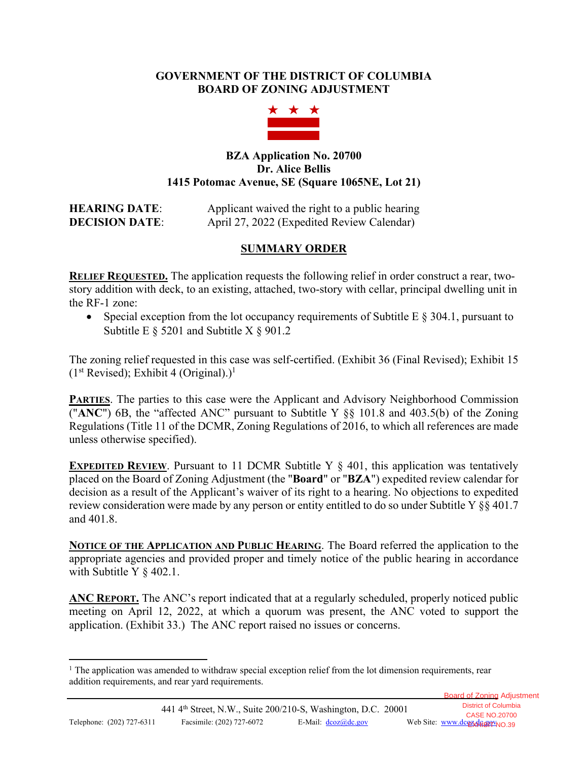## **GOVERNMENT OF THE DISTRICT OF COLUMBIA BOARD OF ZONING ADJUSTMENT**



### **BZA Application No. 20700 Dr. Alice Bellis 1415 Potomac Avenue, SE (Square 1065NE, Lot 21)**

# **HEARING DATE:** Applicant waived the right to a public hearing **DECISION DATE:** April 27, 2022 (Expedited Review Calendar)

# **SUMMARY ORDER**

**RELIEF REQUESTED.** The application requests the following relief in order construct a rear, twostory addition with deck, to an existing, attached, two-story with cellar, principal dwelling unit in the RF-1 zone:

• Special exception from the lot occupancy requirements of Subtitle E  $\S$  304.1, pursuant to Subtitle E  $\S$  5201 and Subtitle X  $\S$  901.2

The zoning relief requested in this case was self-certified. (Exhibit 36 (Final Revised); Exhibit 15  $(1<sup>st</sup> Revised);$  Exhibit 4 (Original).)<sup>1</sup>

**PARTIES**. The parties to this case were the Applicant and Advisory Neighborhood Commission ("**ANC**") 6B, the "affected ANC" pursuant to Subtitle Y §§ 101.8 and 403.5(b) of the Zoning Regulations (Title 11 of the DCMR, Zoning Regulations of 2016, to which all references are made unless otherwise specified).

**EXPEDITED REVIEW.** Pursuant to 11 DCMR Subtitle Y § 401, this application was tentatively placed on the Board of Zoning Adjustment (the "**Board**" or "**BZA**") expedited review calendar for decision as a result of the Applicant's waiver of its right to a hearing. No objections to expedited review consideration were made by any person or entity entitled to do so under Subtitle Y §§ 401.7 and 401.8.

**NOTICE OF THE APPLICATION AND PUBLIC HEARING**. The Board referred the application to the appropriate agencies and provided proper and timely notice of the public hearing in accordance with Subtitle Y § 402.1.

**ANC REPORT.** The ANC's report indicated that at a regularly scheduled, properly noticed public meeting on April 12, 2022, at which a quorum was present, the ANC voted to support the application. (Exhibit 33.) The ANC report raised no issues or concerns.

Board of Zoning Adjustment

<sup>&</sup>lt;sup>1</sup> The application was amended to withdraw special exception relief from the lot dimension requirements, rear addition requirements, and rear yard requirements.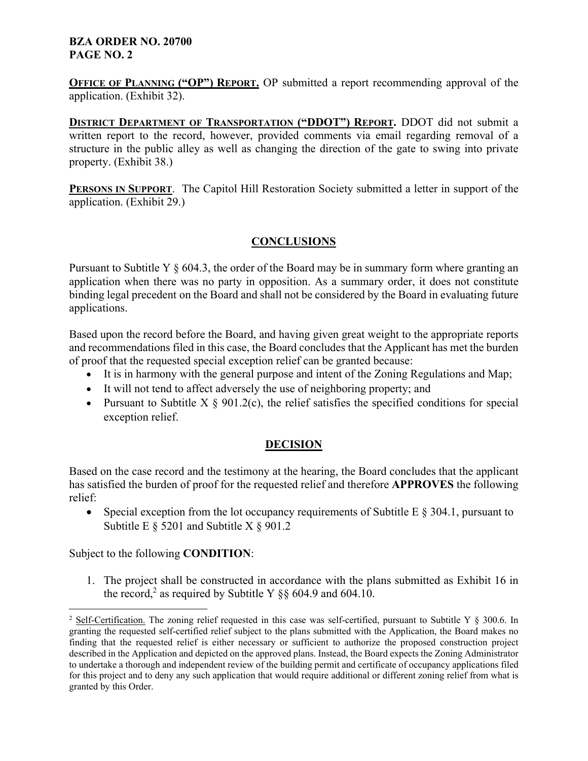#### **BZA ORDER NO. 20700 PAGE NO. 2**

**OFFICE OF PLANNING ("OP") REPORT.** OP submitted a report recommending approval of the application. (Exhibit 32).

**DISTRICT DEPARTMENT OF TRANSPORTATION ("DDOT") REPORT.** DDOT did not submit a written report to the record, however, provided comments via email regarding removal of a structure in the public alley as well as changing the direction of the gate to swing into private property. (Exhibit 38.)

**PERSONS IN SUPPORT.** The Capitol Hill Restoration Society submitted a letter in support of the application. (Exhibit 29.)

# **CONCLUSIONS**

Pursuant to Subtitle Y  $\S 604.3$ , the order of the Board may be in summary form where granting an application when there was no party in opposition. As a summary order, it does not constitute binding legal precedent on the Board and shall not be considered by the Board in evaluating future applications.

Based upon the record before the Board, and having given great weight to the appropriate reports and recommendations filed in this case, the Board concludes that the Applicant has met the burden of proof that the requested special exception relief can be granted because:

- It is in harmony with the general purpose and intent of the Zoning Regulations and Map;
- It will not tend to affect adversely the use of neighboring property; and
- Pursuant to Subtitle  $X \S 901.2(c)$ , the relief satisfies the specified conditions for special exception relief.

## **DECISION**

Based on the case record and the testimony at the hearing, the Board concludes that the applicant has satisfied the burden of proof for the requested relief and therefore **APPROVES** the following relief:

• Special exception from the lot occupancy requirements of Subtitle E  $\S$  304.1, pursuant to Subtitle E  $\S$  5201 and Subtitle X  $\S$  901.2

Subject to the following **CONDITION**:

1. The project shall be constructed in accordance with the plans submitted as Exhibit 16 in the record,<sup>2</sup> as required by Subtitle Y  $\S$ § 604.9 and 604.10.

<sup>&</sup>lt;sup>2</sup> Self-Certification. The zoning relief requested in this case was self-certified, pursuant to Subtitle Y  $\S$  300.6. In granting the requested self-certified relief subject to the plans submitted with the Application, the Board makes no finding that the requested relief is either necessary or sufficient to authorize the proposed construction project described in the Application and depicted on the approved plans. Instead, the Board expects the Zoning Administrator to undertake a thorough and independent review of the building permit and certificate of occupancy applications filed for this project and to deny any such application that would require additional or different zoning relief from what is granted by this Order.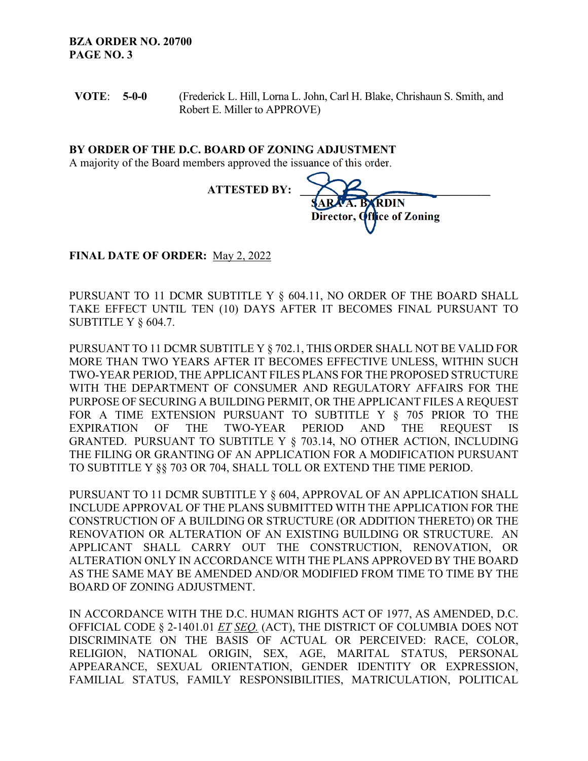**VOTE**: **5-0-0**  (Frederick L. Hill, Lorna L. John, Carl H. Blake, Chrishaun S. Smith, and Robert E. Miller to APPROVE)

**BY ORDER OF THE D.C. BOARD OF ZONING ADJUSTMENT** 

A majority of the Board members approved the issuance of this order.

| <b>ATTESTED BY:</b> |                                                              |
|---------------------|--------------------------------------------------------------|
|                     | <b>SARA A. B (RDIN)</b><br>Director, <b>Office</b> of Zoning |
|                     |                                                              |

**FINAL DATE OF ORDER:** May 2, 2022

PURSUANT TO 11 DCMR SUBTITLE Y § 604.11, NO ORDER OF THE BOARD SHALL TAKE EFFECT UNTIL TEN (10) DAYS AFTER IT BECOMES FINAL PURSUANT TO SUBTITLE Y § 604.7.

PURSUANT TO 11 DCMR SUBTITLE Y § 702.1, THIS ORDER SHALL NOT BE VALID FOR MORE THAN TWO YEARS AFTER IT BECOMES EFFECTIVE UNLESS, WITHIN SUCH TWO-YEAR PERIOD, THE APPLICANT FILES PLANS FOR THE PROPOSED STRUCTURE WITH THE DEPARTMENT OF CONSUMER AND REGULATORY AFFAIRS FOR THE PURPOSE OF SECURING A BUILDING PERMIT, OR THE APPLICANT FILES A REQUEST FOR A TIME EXTENSION PURSUANT TO SUBTITLE Y § 705 PRIOR TO THE EXPIRATION OF THE TWO-YEAR PERIOD AND THE REQUEST IS GRANTED. PURSUANT TO SUBTITLE Y § 703.14, NO OTHER ACTION, INCLUDING THE FILING OR GRANTING OF AN APPLICATION FOR A MODIFICATION PURSUANT TO SUBTITLE Y §§ 703 OR 704, SHALL TOLL OR EXTEND THE TIME PERIOD.

PURSUANT TO 11 DCMR SUBTITLE Y § 604, APPROVAL OF AN APPLICATION SHALL INCLUDE APPROVAL OF THE PLANS SUBMITTED WITH THE APPLICATION FOR THE CONSTRUCTION OF A BUILDING OR STRUCTURE (OR ADDITION THERETO) OR THE RENOVATION OR ALTERATION OF AN EXISTING BUILDING OR STRUCTURE. AN APPLICANT SHALL CARRY OUT THE CONSTRUCTION, RENOVATION, OR ALTERATION ONLY IN ACCORDANCE WITH THE PLANS APPROVED BY THE BOARD AS THE SAME MAY BE AMENDED AND/OR MODIFIED FROM TIME TO TIME BY THE BOARD OF ZONING ADJUSTMENT.

IN ACCORDANCE WITH THE D.C. HUMAN RIGHTS ACT OF 1977, AS AMENDED, D.C. OFFICIAL CODE § 2-1401.01 *ET SEQ.* (ACT), THE DISTRICT OF COLUMBIA DOES NOT DISCRIMINATE ON THE BASIS OF ACTUAL OR PERCEIVED: RACE, COLOR, RELIGION, NATIONAL ORIGIN, SEX, AGE, MARITAL STATUS, PERSONAL APPEARANCE, SEXUAL ORIENTATION, GENDER IDENTITY OR EXPRESSION, FAMILIAL STATUS, FAMILY RESPONSIBILITIES, MATRICULATION, POLITICAL